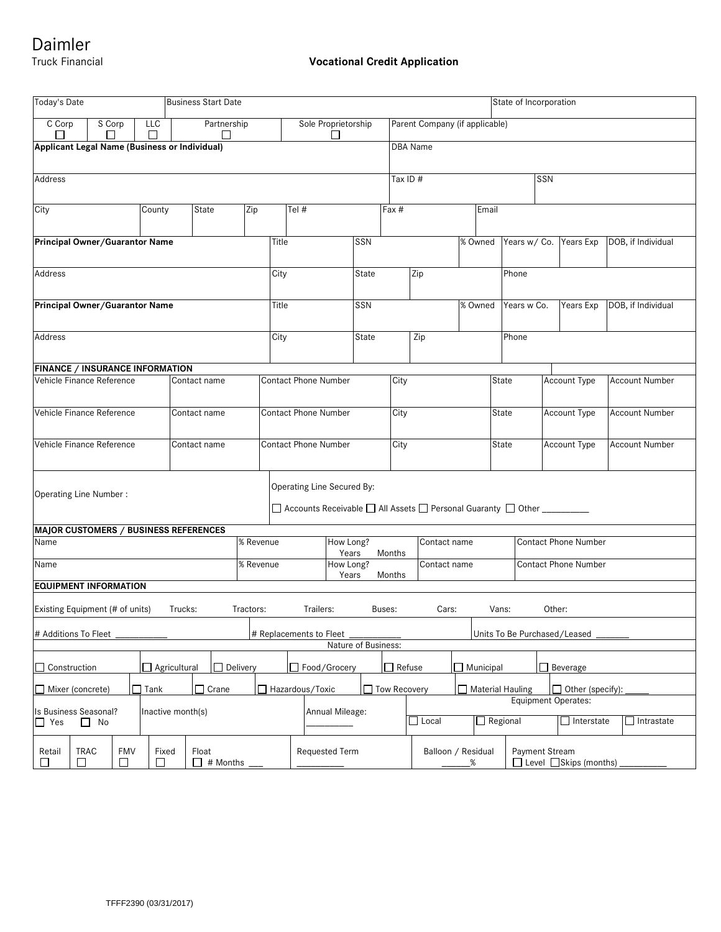# Daimler<br>Truck Financial

# **Vocational Credit Application**

| Today's Date                                                                                                                 |                                                                                                  | <b>Business Start Date</b> |                    |                 |                |                    |                             |                             |                     | State of Incorporation            |                                             |                                |                                                      |                             |                             |                       |                       |  |
|------------------------------------------------------------------------------------------------------------------------------|--------------------------------------------------------------------------------------------------|----------------------------|--------------------|-----------------|----------------|--------------------|-----------------------------|-----------------------------|---------------------|-----------------------------------|---------------------------------------------|--------------------------------|------------------------------------------------------|-----------------------------|-----------------------------|-----------------------|-----------------------|--|
|                                                                                                                              | C Corp<br>S Corp                                                                                 |                            | Partnership<br>LLC |                 |                |                    | Sole Proprietorship         |                             |                     |                                   |                                             | Parent Company (if applicable) |                                                      |                             |                             |                       |                       |  |
| Applicant Legal Name (Business or Individual)<br><b>DBA</b> Name                                                             |                                                                                                  |                            |                    |                 |                |                    |                             |                             |                     |                                   |                                             |                                |                                                      |                             |                             |                       |                       |  |
| Address                                                                                                                      |                                                                                                  |                            |                    |                 |                |                    |                             |                             | Tax ID #            |                                   |                                             | SSN                            |                                                      |                             |                             |                       |                       |  |
| City                                                                                                                         |                                                                                                  |                            |                    | State<br>County |                | Zip                | Tel #                       |                             |                     |                                   | Fax #                                       |                                |                                                      | Email                       |                             |                       |                       |  |
|                                                                                                                              | Principal Owner/Guarantor Name                                                                   |                            |                    |                 |                |                    | Title                       |                             |                     | SSN                               |                                             |                                | % Owned                                              |                             | Years w/ Co.                | Years Exp             | DOB, if Individual    |  |
| Address                                                                                                                      |                                                                                                  |                            |                    |                 |                |                    |                             | City<br>State               |                     |                                   |                                             | Zip                            |                                                      | Phone                       |                             |                       |                       |  |
| Principal Owner/Guarantor Name                                                                                               |                                                                                                  |                            |                    |                 |                |                    |                             | SSN<br>Title                |                     |                                   |                                             |                                | % Owned                                              |                             | Years w Co.                 | Years Exp             | DOB, if Individual    |  |
| Address                                                                                                                      |                                                                                                  |                            |                    |                 |                |                    | City                        |                             |                     | State                             | Zip                                         |                                | Phone                                                |                             |                             |                       |                       |  |
|                                                                                                                              | <b>FINANCE / INSURANCE INFORMATION</b>                                                           |                            |                    |                 |                |                    |                             |                             |                     |                                   |                                             |                                |                                                      |                             |                             |                       |                       |  |
| Vehicle Finance Reference                                                                                                    |                                                                                                  |                            |                    |                 | Contact name   |                    |                             | <b>Contact Phone Number</b> |                     |                                   | City                                        |                                | State                                                |                             |                             | Account Type          | <b>Account Number</b> |  |
| Vehicle Finance Reference                                                                                                    |                                                                                                  |                            |                    |                 | Contact name   |                    |                             | <b>Contact Phone Number</b> |                     |                                   | City                                        |                                |                                                      | State                       |                             | Account Type          | Account Number        |  |
| Vehicle Finance Reference                                                                                                    |                                                                                                  |                            |                    | Contact name    |                |                    | <b>Contact Phone Number</b> |                             |                     |                                   | City                                        |                                | State                                                | Account Type                |                             | <b>Account Number</b> |                       |  |
| Operating Line Secured By:<br>Operating Line Number:<br>□ Accounts Receivable □ All Assets □ Personal Guaranty □ Other _____ |                                                                                                  |                            |                    |                 |                |                    |                             |                             |                     |                                   |                                             |                                |                                                      |                             |                             |                       |                       |  |
|                                                                                                                              | <b>MAJOR CUSTOMERS / BUSINESS REFERENCES</b>                                                     |                            |                    |                 |                |                    |                             |                             |                     |                                   |                                             |                                |                                                      |                             |                             |                       |                       |  |
| Name                                                                                                                         |                                                                                                  |                            |                    |                 | % Revenue      | How Long?<br>Years |                             |                             |                     | Contact name<br>Months            |                                             |                                |                                                      | <b>Contact Phone Number</b> |                             |                       |                       |  |
| % Revenue<br>Name                                                                                                            |                                                                                                  |                            |                    |                 |                |                    | How Long?<br>Years          |                             |                     |                                   | Months                                      | Contact name                   |                                                      |                             | <b>Contact Phone Number</b> |                       |                       |  |
| <b>EQUIPMENT INFORMATION</b>                                                                                                 |                                                                                                  |                            |                    |                 |                |                    |                             |                             |                     |                                   |                                             |                                |                                                      |                             |                             |                       |                       |  |
| Existing Equipment (# of units)<br>Trucks:<br>Trailers:<br>Cars:<br>Other:<br>Tractors:<br>Buses:<br>Vans:                   |                                                                                                  |                            |                    |                 |                |                    |                             |                             |                     |                                   |                                             |                                |                                                      |                             |                             |                       |                       |  |
| # Additions To Fleet<br># Replacements to Fleet<br>Units To Be Purchased/Leased<br>Nature of Business:                       |                                                                                                  |                            |                    |                 |                |                    |                             |                             |                     |                                   |                                             |                                |                                                      |                             |                             |                       |                       |  |
| $\Box$ Delivery<br>Construction<br>Agricultural                                                                              |                                                                                                  |                            |                    |                 |                | Food/Grocery       |                             |                             |                     | $\Box$ Refuse<br>$\Box$ Municipal |                                             | $\Box$ Beverage                |                                                      |                             |                             |                       |                       |  |
| Crane<br>$\Box$ Tank<br>$\sqcap$ Mixer (concrete)                                                                            |                                                                                                  |                            |                    |                 |                | Hazardous/Toxic    |                             |                             | <b>Tow Recovery</b> |                                   | Material Hauling<br>$\Box$ Other (specify): |                                |                                                      |                             |                             |                       |                       |  |
| <b>Equipment Operates:</b><br>Is Business Seasonal?                                                                          |                                                                                                  |                            |                    |                 |                |                    |                             |                             |                     |                                   |                                             |                                |                                                      |                             |                             |                       |                       |  |
| Inactive month(s)<br>$\Box$ Yes<br>$\Box$ No                                                                                 |                                                                                                  |                            |                    |                 |                |                    | Annual Mileage:             |                             |                     |                                   | $\Box$ Regional<br>$\exists$ Local          |                                |                                                      |                             | $\Box$ Interstate           | $\Box$ Intrastate     |                       |  |
| Retail<br>П                                                                                                                  | <b>TRAC</b><br><b>FMV</b><br>Float<br>Fixed<br># Months<br>$\Box$<br>□<br>$\Box$<br>$\mathsf{L}$ |                            |                    |                 | Requested Term |                    |                             |                             |                     | Balloon / Residual<br>%           |                                             |                                | Payment Stream<br>$\Box$ Level $\Box$ Skips (months) |                             |                             |                       |                       |  |